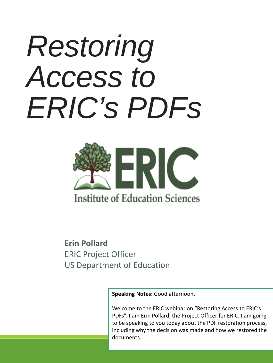# *Restoring Access to ERIC's PDFs*



#### **Erin Pollard** ERIC Project Officer US Department of Education

**Speaking Notes:** Good afternoon,

Welcome to the ERIC webinar on "Restoring Access to ERIC's PDFs". I am Erin Pollard, the Project Officer for ERIC. I am going to be speaking to you today about the PDF restoration process, including why the decision was made and how we restored the documents.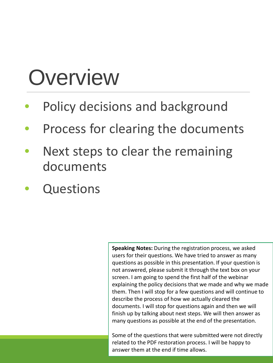### **Overview**

- Policy decisions and background
- Process for clearing the documents
- Next steps to clear the remaining documents
- **Questions**

**Speaking Notes:** During the registration process, we asked users for their questions. We have tried to answer as many questions as possible in this presentation. If your question is not answered, please submit it through the text box on your screen. I am going to spend the first half of the webinar explaining the policy decisions that we made and why we made them. Then I will stop for a few questions and will continue to describe the process of how we actually cleared the documents. I will stop for questions again and then we will finish up by talking about next steps. We will then answer as many questions as possible at the end of the presentation.

Some of the questions that were submitted were not directly related to the PDF restoration process. I will be happy to answer them at the end if time allows.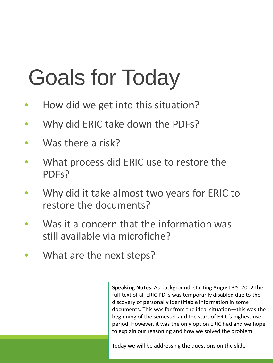# Goals for Today

- How did we get into this situation?
- Why did ERIC take down the PDFs?
- Was there a risk?
- What process did ERIC use to restore the PDFs?
- Why did it take almost two years for ERIC to restore the documents?
- Was it a concern that the information was still available via microfiche?
- What are the next steps?

**Speaking Notes:** As background, starting August 3rd, 2012 the full-text of all ERIC PDFs was temporarily disabled due to the discovery of personally identifiable information in some documents. This was far from the ideal situation—this was the beginning of the semester and the start of ERIC's highest use period. However, it was the only option ERIC had and we hope to explain our reasoning and how we solved the problem.

Today we will be addressing the questions on the slide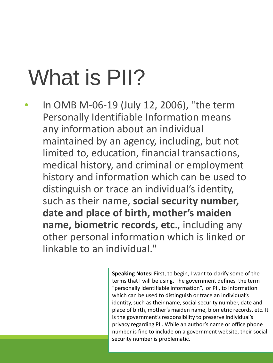# What is PII?

• In OMB M-06-19 (July 12, 2006), "the term Personally Identifiable Information means any information about an individual maintained by an agency, including, but not limited to, education, financial transactions, medical history, and criminal or employment history and information which can be used to distinguish or trace an individual's identity, such as their name, **social security number, date and place of birth, mother's maiden name, biometric records, etc**., including any other personal information which is linked or linkable to an individual."

> **Speaking Notes:** First, to begin, I want to clarify some of the terms that I will be using. The government defines the term "personally identifiable information", or PII, to information which can be used to distinguish or trace an individual's identity, such as their name, social security number, date and place of birth, mother's maiden name, biometric records, etc. It is the government's responsibility to preserve individual's privacy regarding PII. While an author's name or office phone number is fine to include on a government website, their social security number is problematic.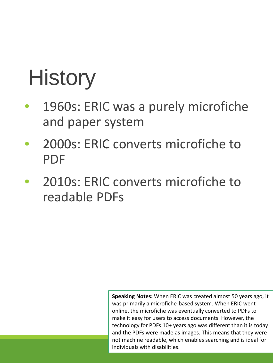## **History**

- 1960s: ERIC was a purely microfiche and paper system
- 2000s: ERIC converts microfiche to PDF
- 2010s: ERIC converts microfiche to readable PDFs

**Speaking Notes:** When ERIC was created almost 50 years ago, it was primarily a microfiche-based system. When ERIC went online, the microfiche was eventually converted to PDFs to make it easy for users to access documents. However, the technology for PDFs 10+ years ago was different than it is today and the PDFs were made as images. This means that they were not machine readable, which enables searching and is ideal for individuals with disabilities.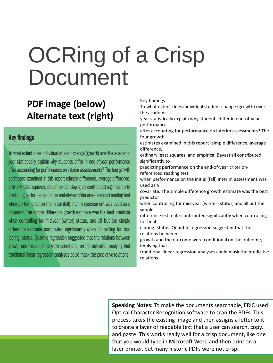### OCRing of a Crisp Document

#### **PDF image (below) Alternate text (right)**

#### **Key findings**

To what extent does individual student change (growth) over the academic year statistically explain why students differ in end-of-year performance after accounting for performance on interim assessments? The four growth estimates examined in this report (simple difference, average difference, ordinary least squares, and empirical Bayes) all contributed significantly to predicting performance on the end-of-year criterion-referenced reading test when performance on the initial (fall) interim assessment was used as a covariate. The simple difference growth estimate was the best predictor when controlling for mid-year (winter) status, and all but the simple difference estimate contributed significantly when controlling for final (spring) status. Quantile regression suggested that the relations between growth and the outcome were conditional on the outcome, implying that traditional linear regression analyses could mask the predictive relations.

Key findings To what extent does individual student change (growth) over the academic year statistically explain why students differ in end-of-year performance after accounting for performance on interim assessments? The four growth estimates examined in this report (simple difference, average difference, ordinary least squares, and empirical Bayes) all contributed significantly to predicting performance on the end-of-year criterionreferenced reading test when performance on the initial (fall) interim assessment was used as a covariate. The simple difference growth estimate was the best predictor when controlling for mid-year (winter) status, and all but the simple difference estimate contributed significantly when controlling for final (spring) status. Quantile regression suggested that the relations between growth and the outcome were conditional on the outcome, implying that traditional linear regression analyses could mask the predictive relations.

**Speaking Notes:** To make the documents searchable, ERIC used Optical Character Recognition software to scan the PDFs. This process takes the existing image and then assigns a letter to it to create a layer of readable text that a user can search, copy, and paste. This works really well for a crisp document, like one that you would type in Microsoft Word and then print on a laser printer, but many historic PDFs were not crisp.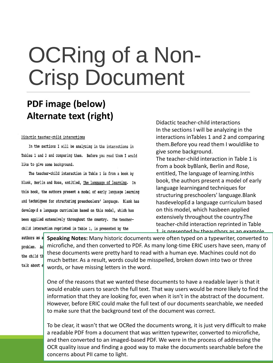### OCRing of a Non-Crisp Document

#### **PDF image (below) Alternate text (right)**

#### Didactic teacher-child interactions

In the sections I will be analyzing in the interactions in Tables 1 and 2 and comparing them. Before you read them I would like to give some background.

The teacher-child interaction in Table 1 is from a book by Blank, Berlin and Rose, entitled, The language of learning. In this book, the authors present a model of early language learning and techniques for structuring preschoolers' language. Blank has developed a language curriculum based on this model, which has been applied extensively throughout the country. The teacherchild interaction reprinted in Table 1, is presented by the

Didactic teacher-child interactions In the sections I will be analyzing in the interactions inTables 1 and 2 and comparing them.Before you read them I wouldlike to give some background.

The teacher-child interaction in Table 1 is from a book byBlank, Berlin and Rose, entitled, The language of learning.Inthis book, the authors present a model of early language learningand techniques for structuring preschoolers' language.Blank hasdevelopEd a language curriculum based on this model, which hasbeen applied extensively throughout the country.The teacher-child interaction reprinted in Table 1 is presented by theauthors as an example

problem. Ac the child th talk about e

**Speaking Notes:** Many historic documents were often typed on a typewriter, converted to microfiche, and then converted to PDF. As many long-time ERIC users have seen, many of these documents were pretty hard to read with a human eye. Machines could not do much better. As a result, words could be misspelled, broken down into two or three words, or have missing letters in the word.

One of the reasons that we wanted these documents to have a readable layer is that it would enable users to search the full text. That way users would be more likely to find the information that they are looking for, even when it isn't in the abstract of the document. However, before ERIC could make the full text of our documents searchable, we needed to make sure that the background text of the document was correct.

To be clear, it wasn't that we OCRed the documents wrong, it is just very difficult to make a readable PDF from a document that was written typewriter, converted to microfiche, and then converted to an imaged-based PDF. We were in the process of addressing the OCR quality issue and finding a good way to make the documents searchable before the concerns about PII came to light.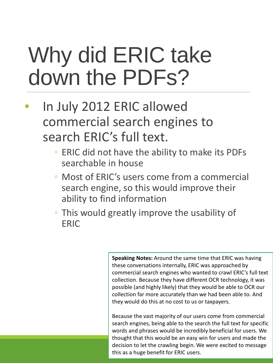### Why did ERIC take down the PDFs?

- In July 2012 ERIC allowed commercial search engines to search ERIC's full text.
	- ERIC did not have the ability to make its PDFs searchable in house
	- Most of ERIC's users come from a commercial search engine, so this would improve their ability to find information
	- This would greatly improve the usability of ERIC

**Speaking Notes:** Around the same time that ERIC was having these conversations internally, ERIC was approached by commercial search engines who wanted to crawl ERIC's full text collection. Because they have different OCR technology, it was possible (and highly likely) that they would be able to OCR our collection far more accurately than we had been able to. And they would do this at no cost to us or taxpayers.

Because the vast majority of our users come from commercial search engines, being able to the search the full text for specific words and phrases would be incredibly beneficial for users. We thought that this would be an easy win for users and made the decision to let the crawling begin. We were excited to message this as a huge benefit for ERIC users.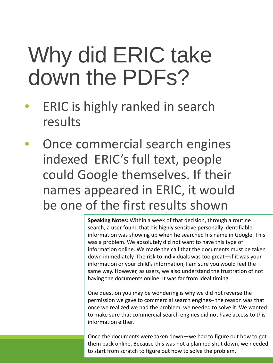### Why did ERIC take down the PDFs?

- ERIC is highly ranked in search results
- Once commercial search engines indexed ERIC's full text, people could Google themselves. If their names appeared in ERIC, it would be one of the first results shown

**Speaking Notes:** Within a week of that decision, through a routine search, a user found that his highly sensitive personally identifiable information was showing up when he searched his name in Google. This was a problem. We absolutely did not want to have this type of information online. We made the call that the documents must be taken down immediately. The risk to individuals was too great—if it was your information or your child's information, I am sure you would feel the same way. However, as users, we also understand the frustration of not having the documents online. It was far from ideal timing.

One question you may be wondering is why we did not reverse the permission we gave to commercial search engines– the reason was that once we realized we had the problem, we needed to solve it. We wanted to make sure that commercial search engines did not have access to this information either.

Once the documents were taken down—we had to figure out how to get them back online. Because this was not a planned shut down, we needed to start from scratch to figure out how to solve the problem.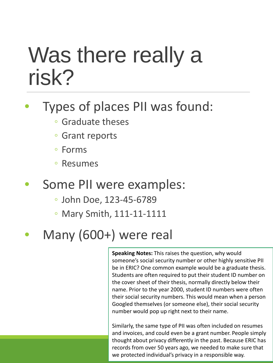#### Was there really a risk?

#### • Types of places PII was found:

- Graduate theses
- Grant reports
- Forms
- Resumes
- Some PII were examples:
	- John Doe, 123-45-6789
	- Mary Smith, 111-11-1111
- Many (600+) were real

**Speaking Notes:** This raises the question, why would someone's social security number or other highly sensitive PII be in ERIC? One common example would be a graduate thesis. Students are often required to put their student ID number on the cover sheet of their thesis, normally directly below their name. Prior to the year 2000, student ID numbers were often their social security numbers. This would mean when a person Googled themselves (or someone else), their social security number would pop up right next to their name.

Similarly, the same type of PII was often included on resumes and invoices, and could even be a grant number. People simply thought about privacy differently in the past. Because ERIC has records from over 50 years ago, we needed to make sure that we protected individual's privacy in a responsible way.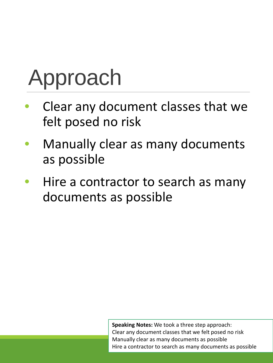# Approach

- Clear any document classes that we felt posed no risk
- Manually clear as many documents as possible
- Hire a contractor to search as many documents as possible

**Speaking Notes:** We took a three step approach: Clear any document classes that we felt posed no risk Manually clear as many documents as possible Hire a contractor to search as many documents as possible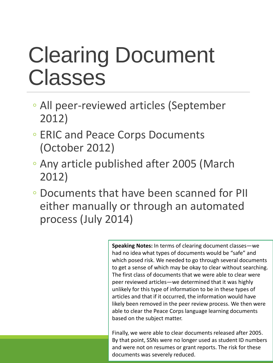### Clearing Document Classes

- All peer-reviewed articles (September 2012)
- ERIC and Peace Corps Documents (October 2012)
- Any article published after 2005 (March 2012)
- Documents that have been scanned for PII either manually or through an automated process (July 2014)

**Speaking Notes:** In terms of clearing document classes—we had no idea what types of documents would be "safe" and which posed risk. We needed to go through several documents to get a sense of which may be okay to clear without searching. The first class of documents that we were able to clear were peer reviewed articles—we determined that it was highly unlikely for this type of information to be in these types of articles and that if it occurred, the information would have likely been removed in the peer review process. We then were able to clear the Peace Corps language learning documents based on the subject matter.

Finally, we were able to clear documents released after 2005. By that point, SSNs were no longer used as student ID numbers and were not on resumes or grant reports. The risk for these documents was severely reduced.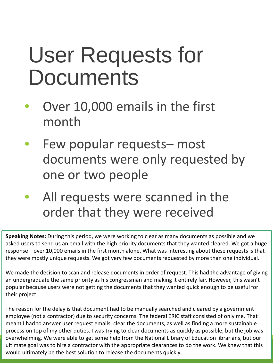### User Requests for **Documents**

- Over 10,000 emails in the first month
- Few popular requests– most documents were only requested by one or two people
- All requests were scanned in the order that they were received

**Speaking Notes:** During this period, we were working to clear as many documents as possible and we asked users to send us an email with the high priority documents that they wanted cleared. We got a huge response—over 10,000 emails in the first month alone. What was interesting about these requests is that they were mostly unique requests. We got very few documents requested by more than one individual.

We made the decision to scan and release documents in order of request. This had the advantage of giving an undergraduate the same priority as his congressman and making it entirely fair. However, this wasn't popular because users were not getting the documents that they wanted quick enough to be useful for their project.

The reason for the delay is that document had to be manually searched and cleared by a government employee (not a contractor) due to security concerns. The federal ERIC staff consisted of only me. That meant I had to answer user request emails, clear the documents, as well as finding a more sustainable process on top of my other duties. I was trying to clear documents as quickly as possible, but the job was overwhelming. We were able to get some help from the National Library of Education librarians, but our ultimate goal was to hire a contractor with the appropriate clearances to do the work. We knew that this would ultimately be the best solution to release the documents quickly.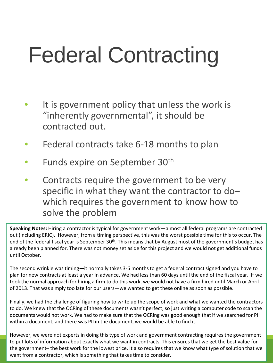# Federal Contracting

- It is government policy that unless the work is "inherently governmental", it should be contracted out.
- Federal contracts take 6-18 months to plan
- Funds expire on September 30<sup>th</sup>
- Contracts require the government to be very specific in what they want the contractor to do– which requires the government to know how to solve the problem

**Speaking Notes:** Hiring a contractor is typical for government work—almost all federal programs are contracted out (including ERIC). However, from a timing perspective, this was the worst possible time for this to occur. The end of the federal fiscal year is September 30<sup>th</sup>. This means that by August most of the government's budget has already been planned for. There was not money set aside for this project and we would not get additional funds until October.

The second wrinkle was timing—it normally takes 3-6 months to get a federal contract signed and you have to plan for new contracts at least a year in advance. We had less than 60 days until the end of the fiscal year. If we took the normal approach for hiring a firm to do this work, we would not have a firm hired until March or April of 2013. That was simply too late for our users—we wanted to get these online as soon as possible.

Finally, we had the challenge of figuring how to write up the scope of work and what we wanted the contractors to do. We knew that the OCRing of these documents wasn't perfect, so just writing a computer code to scan the documents would not work. We had to make sure that the OCRing was good enough that if we searched for PII within a document, and there was PII in the document, we would be able to find it.

However, we were not experts in doing this type of work and government contracting requires the government to put lots of information about exactly what we want in contracts. This ensures that we get the best value for the government– the best work for the lowest price. It also requires that we know what type of solution that we want from a contractor, which is something that takes time to consider.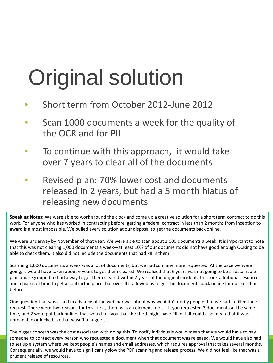# Original solution

- Short term from October 2012-June 2012
- Scan 1000 documents a week for the quality of the OCR and for PII
- To continue with this approach, it would take over 7 years to clear all of the documents
- Revised plan: 70% lower cost and documents released in 2 years, but had a 5 month hiatus of releasing new documents

**Speaking Notes:** We were able to work around the clock and come up a creative solution for a short term contract to do this work. For anyone who has worked in contracting before, getting a federal contract in less than 2 months from inception to award is almost impossible. We pulled every solution at our disposal to get the documents back online.

We were underway by November of that year. We were able to scan about 1,000 documents a week. It is important to note that this was not clearing 1,000 documents a week—at least 10% of our documents did not have good enough OCRing to be able to check them. It also did not include the documents that had PII in them.

Scanning 1,000 documents a week was a lot of documents, but we had so many more requested. At the pace we were going, it would have taken about 6 years to get them cleared. We realized that 6 years was not going to be a sustainable plan and regrouped to find a way to get them cleared within 2 years of the original incident. This took additional resources and a hiatus of time to get a contract in place, but overall it allowed us to get the documents back online far quicker than before.

One question that was asked in advance of the webinar was about why we didn't notify people that we had fulfilled their request. There were two reasons for this– first, there was an element of risk. If you requested 3 documents at the same time, and 2 were put back online, that would tell you that the third might have PII in it. It could also mean that it was unreadable or locked, so that wasn't a huge risk.

The bigger concern was the cost associated with doing this. To notify individuals would mean that we would have to pay someone to contact every person who requested a document when that document was released. We would have also had to set up a system where we kept people's names and email addresses, which requires approval that takes several months. Consequentially, we would have to significantly slow the PDF scanning and release process. We did not feel like that was a prudent release of resources.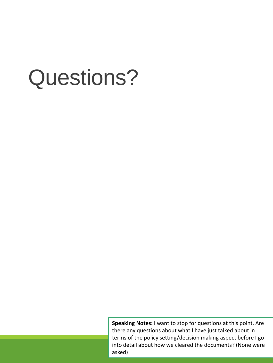**Speaking Notes:** I want to stop for questions at this point. Are there any questions about what I have just talked about in terms of the policy setting/decision making aspect before I go into detail about how we cleared the documents? (None were asked)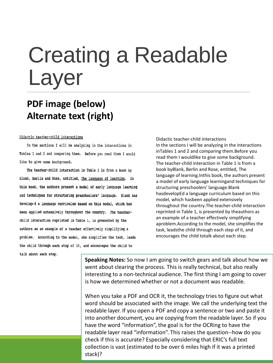#### Creating a Readable Layer

#### **PDF image (below) Alternate text (right)**

#### Didactic teacher-child interactions

In the sections I will be analyzing in the interactions in Tables 1 and 2 and comparing them. Before you read them I would like to give some background.

The teacher-child interaction in Table 1 is from a book by Blank, Berlin and Rose, entitled, The language of learning. In this book, the authors present a model of early language learning and techniques for structuring preschoolers' language. Blank has developed a language curriculum based on this model, which has been applied extensively throughout the country. The teacherchild interaction reprinted in Table 1, is presented by the authors as an example of a teacher effectively simplifying a problem. According to the model, she simplifies the task, leads the child through each step of it, and encourages the child to

Didactic teacher-child interactions In the sections I will be analyzing in the interactions inTables 1 and 2 and comparing them.Before you read them I wouldlike to give some background. The teacher-child interaction in Table 1 is from a book byBlank, Berlin and Rose, entitled, The language of learning.Inthis book, the authors present a model of early language learningand techniques for structuring preschoolers' language.Blank hasdevelopEd a language curriculum based on this model, which hasbeen applied extensively throughout the country.The teacher-child interaction reprinted in Table 1, is presented by theauthors as an example of a teacher effectively simplifying aproblem.According to the model, she simplifies the task, leadsthe child through each step of it, and encourages the child totalk about each step.

talk about each step.

**Speaking Notes:** So now I am going to switch gears and talk about how we went about clearing the process. This is really technical, but also really interesting to a non-technical audience. The first thing I am going to cover is how we determined whether or not a document was readable.

When you take a PDF and OCR it, the technology tries to figure out what word should be associated with the image. We call the underlying text the readable layer. If you open a PDF and copy a sentence or two and paste it into another document, you are copying from the readable layer. So if you have the word "information", the goal is for the OCRing to have the readable layer read "information". This raises the question--how do you check if this is accurate? Especially considering that ERIC's full text collection is vast (estimated to be over 6 miles high if it was a printed stack)?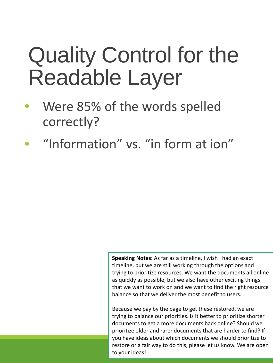### Quality Control for the Readable Layer

- Were 85% of the words spelled correctly?
- "Information" vs. "in form at ion"

**Speaking Notes:** As far as a timeline, I wish I had an exact timeline, but we are still working through the options and trying to prioritize resources. We want the documents all online as quickly as possible, but we also have other exciting things that we want to work on and we want to find the right resource balance so that we deliver the most benefit to users.

Because we pay by the page to get these restored, we are trying to balance our priorities. Is it better to prioritize shorter documents to get a more documents back online? Should we prioritize older and rarer documents that are harder to find? If you have ideas about which documents we should prioritize to restore or a fair way to do this, please let us know. We are open to your ideas!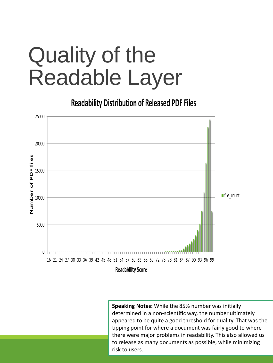### Quality of the Readable Layer

**Readability Distribution of Released PDF Files** 



**Speaking Notes:** While the 85% number was initially determined in a non-scientific way, the number ultimately appeared to be quite a good threshold for quality. That was the tipping point for where a document was fairly good to where there were major problems in readability. This also allowed us to release as many documents as possible, while minimizing risk to users.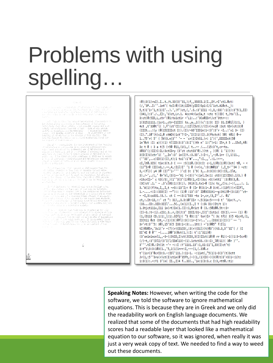#### Problems with using spelling…

#### Firewide<br>with the same internet particle to the statue of<br>with a word of which at the Spireware as a third care of<br>distribution and spirewide operation may be corrected that<br>with a with the second correct was a distributio

 $\sim$  100 mind in the control of the<br>boardeline international organizations in the Galver derivation of the Calver derivation<br>of the Galver derivation of the control of the control minimization of<br>the control of the contro

i digitar in "mili entrancia", for the local composed of the Resolution (f. 2001)<br>"milion in "milion", for the local composed composition (f. 2001)<br>"milion in the local composition (f. 2002) (f. 2013)<br>"milion in the strain

n (1971)<br>1982 - Andrew Marie Marie (1982)<br>1983 - Andrew Marie Marie (1982)<br>1984 - Allens Corporation (1982)<br>1984 - Andrew Marie Marie (1982)<br>1986 - Andrew Marie Marie (1983)<br>1983 - Andrew Marie Marie (1983)<br>1988 - Andrew M n Italia<br>Matematika

The word immediate the masserial will have a funditor nets,  $\alpha$  is presented with the state of the mass of the state of the state of the state of the state of the state of the state of the state of the state of the state

 $\mathcal{L}_{\text{c}}$  , and the state of the state of the state of the state of the state of the state of the state of the state of the state of the state of the state of the state of the state of the state of the state of the st

:0);3(1)roI).I..t./t.33(3)'31,);f,,350CO.1(I.,DY.rI'ct1.0ct:  $\frac{1}{2}$  (/,'3P..I:''.in4'( tcI:0)(1t;1IDt(yIDI)Sp1:C/1'1ct.A10ct.\_):  $5, t$ )1'1-'1, $t$ (1) $I'$ ..).',) $f'$ ) $ct$ , (,'. $S$ .:3'1I11 -), $3,$ :33)':1(1):3' $5(1, 11)$ (341,):3'./.,I}:,'U)ct,Lr.1. 4ccr4:CucIa,t -ctc t()ID( t,)to'(I.,<br>3:ct(0:5ID,L,ctr'(01:to1ct1r -'Li:..:'3Co0IDr\)ct'3ttr-:: 1(31511111.:1cr1.,ctr-I1III( ts.,a.,1())c':1:3: II) 31.I30il)1:1, ) 4ct ,t'330t'l( ),f'(ct'CI:1:,::11ll5ct(//)I(r)rvi0 :3ct t0r)ct:3:0 (IIIt...:(y (0(15IIIIct I:).(I)/-60'IIDin:1-:3':3'r -I..:'xi 3- (I) (I).".10'(t)c2,0 ctWIt)1ct'7!I-,'I(I)1((I).3(ftctct( 50( t01( 0-r 1.75'r( 5' ( 5V)3.n(3'' '- - 'cr(I)ItS1.)r: 1')(',DIDIDct(50 in'0ct :I: a)()(1) tllID:3:3':3:I'()th n' 1:(")r1: I5r,t 5 ..15s5,t0: 3c t 0 : 3 a t(5 (<50 011, (U(L, ( t..-- /... (15:3't, cr-to. 3033'(;)II)C:IL:3ctCDry (3'ct ctct33'0).)(tt, , )(0( 1 '1))(t;<br>3033'(;)II)C:IL:3ctCDry (3'ct ctct33'0).)(tt, , )(0( 1 '1))(t;<br>3(0(I)U)ctr'1(',,In':3' in(I)Y.:3.33'.):I-:,',-;0.1rr (),1)11.,<br>(''33',..c)ID(1)(I),t);1 to1':1 cI, lt0.3IS( tin:3(t.3 C --- :S(110.(3(3:I: c-i,1)01(1)0)(3ct( t0, -< (1)"Ir0 (II(n3,:---,4,:Iil)I''10 (-r)c,':3:3N013' (,I\_t-''34) -ct:<br>3,-(fl)( y4 30 (I)"'i-''' )'cI D: 1'9( 3,..3:3(3):3C):I3,.Ile,  $3)$ ,/-',./;,'0r'kl,(3)1--'Vi (-)3))'<:inl.In:1: ct3)(1I)IDU).1)3.)0 riterII-' c t3(/3: )(1''3(3'(1)03(1,rI)(3cc r3;(nttl'':3:03(3,0.<br>(3C)ct'.1.' - .3'clH3:1:(3(;). 3tit(1.tx1-0 (1)c tc\_,C)c.:-:(,,,,.:. i. 3.'A(1)(f)to,I,,I,t -r3::13'I;< 0 (Ir  $0(3:1-.03:4(.:(13f)))(r)$ IIfl, 1. -.... <: I::333(I) --"):: (1)0 :13':3' ID03C01ti--g:3ti)0-(3:13)''ct-- -I,3:co331.)3.). ct C --:3:1'533 -to 1-,cr, (3, I^'./. 0i' ct,:.It-13,::' ct ": 31),,3.3:30'IIr -.5(3in:5----3 t' '3in:Y.,-.  $(33...CD1.31D13II1'...5C., (n(i)(I., I Y (3k D1-)It/t 1))$ 1.3tjct11ix, Iii in(rt) In(1.(I):1, 0r1ct 0 (3.:50100.5t-:3- $(I)-3.+t-1i$ , cI3;.3..r,  $(D(3:3' IDII/31-,I)I':Ict1c( CD(I),--- (1) 0)$  $(1, (D113 C0.1:1:_-1:1: .3Ifi)$  ( "3 03::1" tor)Ir "( 3c tf1( 3)5 41cr0, (1, IICtil 0ct (Dt,-.(1)(3()0fl):3():1r-I!r:..'...(D33(1)(I)()''-- ';<br>3r'rt:3''5: 30),15'3(5 I33:1-:3:...1tt:) -'1(005" f:Ili tI)0305r,'3c1('r-(7)(r)CO1CO(,:3(r)(Dil)(t)03')(t3.3,3''3I'(/)I DI'4I 0 0''  $-(\ldots, 100)$  3(0ct(1,):I: t':1'311)0)  $(3'$ oninincnli,,-3-);StID,I)ct(JCD3,3(I)IIct:i0)0 rr 01):-1()1:3-5cr0) (/)-t,:3'(DlI/(3'I(l/IDAli3)-(1).1ctct33.:3::I:\_l0)11)( 30r )''.  $3'$ <sup>1</sup>'.tI)0.:It(1t -'- -::I :Y'11Ui.13':1,U1:11'1,33(I)ct't)  $3: t''1 \setminus 3:3:103(1., '5,1(1(1rrr;I,--(1,(.330.c$ t'(1cr(3'0crI3:3.-:IDl'i11.):11-1. -:1int(,"5(1)1-3(3'(t)3ctt  $Jr(1, 15'$ '3ro(r)ct(I)ctin(0'35ft,(-)(1,(1)CD(-)(3(0(t)3'r3)1-:1(t: 1:3(1):.<: Y1 3' (n( II., I)4 f..33)., 'in:1(3:3.c I:3, rtt0.:ti:

**Speaking Notes:** However, when writing the code for the software, we told the software to ignore mathematical equations. This is because they are in Greek and we only did the readability work on English language documents. We realized that some of the documents that had high readability scores had a readable layer that looked like a mathematical equation to our software, so it was ignored, when really it was just a very weak copy of text. We needed to find a way to weed out these documents.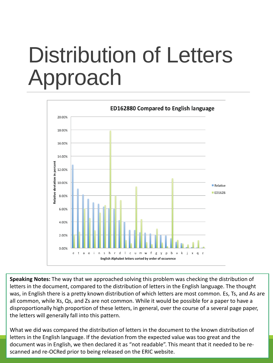### Distribution of Letters Approach



**Speaking Notes:** The way that we approached solving this problem was checking the distribution of letters in the document, compared to the distribution of letters in the English language. The thought was, in English there is a pretty known distribution of which letters are most common. Es, Ts, and As are all common, while Xs, Qs, and Zs are not common. While it would be possible for a paper to have a disproportionally high proportion of these letters, in general, over the course of a several page paper, the letters will generally fall into this pattern.

What we did was compared the distribution of letters in the document to the known distribution of letters in the English language. If the deviation from the expected value was too great and the document was in English, we then declared it as "not readable". This meant that it needed to be rescanned and re-OCRed prior to being released on the ERIC website.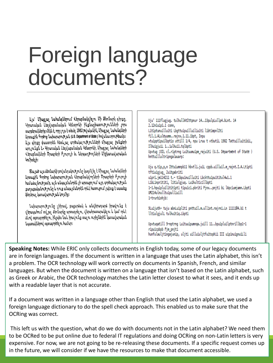#### Foreign language documents?

Այս՝ Միացյալ Նահանգներում Վերաբնակվելու Մի Ձեռնարկ գիրքը, Կիրառական Լեզվաբանական Կենտրոնի ինքնաշխատությունների չորս տարբերակներից մէկն է, որը լ ոյս է տեսել 1982 թվականին, Միացյալ Նահանգների Արտաքին Գործոց Նախարարության (U.S. Department of State ) հովանաւորութեամբ: Այս գիրքը փաստորեն հետևյալ գործակալությունների միացյալ ջանքերի արդ յունքն է. Կիրառական Լեզվաբանական Կենտրոնի, Միացյալ Նահանգների Վերաբնակների Ծրագրերի Բյուրոյի եւ Ներգաղթողների Միջկառավարական Կոմիտեյի։

Չնայած այս ձեռնարկի բով անդակությունը կազմվ ել է Միացյալ Նահանգների Արտաքին Գործոց Նախարարության Վերաբնակվողների Ծրագրերի Բյուրոյի համաձայնությամբ, այն անպայմանորեն չի արտացոլում այդ գործակալության քաղաքականությունը և դուք անպայմանորէն որևէ հատուցում չպետք է սպասեք ֆեդերալ կառավարության կողմից։

Նախարարությունը լիիրավ, բացարձակ և անվերադարձ իրավունք է վ երապահում՝ տվ յալ ձեռնարկը արտադրելու, վերահրատարակելու և կամ որևէ ձևով օգտագործելու, ինչպես նաև իրավունք տալու ուրիշներին՝ կառավարական նպատակներով օգտագործել ու համար։

Uju' 111flugjug. tulhullAtIttpnur 14..13pulpLullp4.bLnt. 14 2.12n1uip1.1 conn, Litiptunuilluiti Lbqttuipuilluiliuiti libtimpnlIti fil.i.ALuleuumm..rajnx.1.11.ibpt, Inpu vtuipptipuilbptis uttill 1/4, npu Lruu t vtbutiL 1982 TattuilluitibiL, IlhuigjuiL 1..iulhui1.tqlbpti Upvtug ; OIL cl.riptrng Luituumuipm\_rajuiti (U.S. Department of State ) hnttuillultripngalauarp: Uju q.tip,p,n Ittuiumnpb11 hbvtli.juiL cppb.uilluil.m rajnt.I.A.Ltipti tftiuigjug 2uitgabriti uipri.jm114211 t.- tibpuinuilluiti Lbckttuipuititul4w1.1 LibLinprititi, litiulgjug. Luihulticillbpti 1-1.hpuipluilititipti tipuici.pbriti Pinx..pniti bL lApciumiamn.Lbpti UM214ulnulltuipulliuill 1-trurbinhib: 9Luijuth- tuju abnLuipliti pnttuil.m.ullint.rajrni.Ln 1111104.b1 t

Upvtugatill 9-notrng Luituuipumnga.juill 11..bpuipluilptnrillbp1-1 ripuicpbpb Fim pniti hunfulauljtingajunip, uljti uilluiuljtfuitophii III uipinuignuiLli

lltiulgjulL tulhuitiq.Lbpti

**Speaking Notes:** While ERIC only collects documents in English today, some of our legacy documents are in foreign languages. If the document is written in a language that uses the Latin alphabet, this isn't a problem. The OCR technology will work correctly on documents in Spanish, French, and similar languages. But when the document is written on a language that isn't based on the Latin alphabet, such as Greek or Arabic, the OCR technology matches the Latin letter closest to what it sees, and it ends up with a readable layer that is not accurate.

If a document was written in a language other than English that used the Latin alphabet, we used a foreign language dictionary to do the spell check approach. This enabled us to make sure that the OCRing was correct.

This left us with the question, what do we do with documents not in the Latin alphabet? We need them to be OCRed to be put online due to federal IT regulations and doing OCRing on non-Latin letters is very expensive. For now, we are not going to be re-releasing these documents. If a specific request comes up in the future, we will consider if we have the resources to make that document accessible.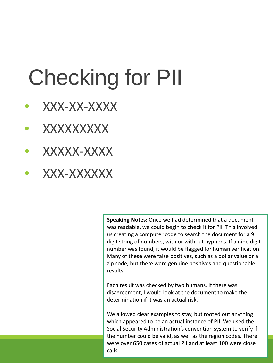# Checking for PII

- XXX-XX-XXXX
- XXXXXXXXX
- XXXXX-XXXX
- XXX-XXXXXX

**Speaking Notes:** Once we had determined that a document was readable, we could begin to check it for PII. This involved us creating a computer code to search the document for a 9 digit string of numbers, with or without hyphens. If a nine digit number was found, it would be flagged for human verification. Many of these were false positives, such as a dollar value or a zip code, but there were genuine positives and questionable results.

Each result was checked by two humans. If there was disagreement, I would look at the document to make the determination if it was an actual risk.

We allowed clear examples to stay, but rooted out anything which appeared to be an actual instance of PII. We used the Social Security Administration's convention system to verify if the number could be valid, as well as the region codes. There were over 650 cases of actual PII and at least 100 were close calls.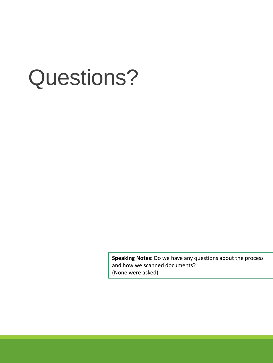**Speaking Notes:** Do we have any questions about the process and how we scanned documents? (None were asked)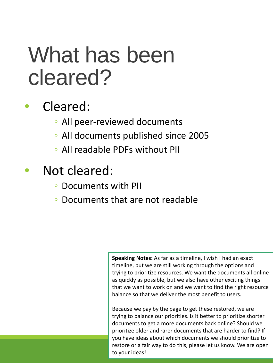#### What has been cleared?

#### Cleared:

- All peer-reviewed documents
- All documents published since 2005
- All readable PDFs without PII
- Not cleared:
	- Documents with PII
	- Documents that are not readable

**Speaking Notes:** As far as a timeline, I wish I had an exact timeline, but we are still working through the options and trying to prioritize resources. We want the documents all online as quickly as possible, but we also have other exciting things that we want to work on and we want to find the right resource balance so that we deliver the most benefit to users.

Because we pay by the page to get these restored, we are trying to balance our priorities. Is it better to prioritize shorter documents to get a more documents back online? Should we prioritize older and rarer documents that are harder to find? If you have ideas about which documents we should prioritize to restore or a fair way to do this, please let us know. We are open to your ideas!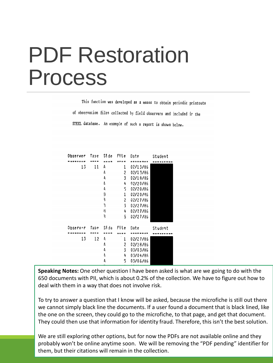#### PDF Restoration Process

This function was developed as a means to obtain periodic printouts of observation files collected by field observers and included ir the STEEL database. An example of such a report is shown below.

| Observer | Tabe | Side | File | Date     | Student |  |
|----------|------|------|------|----------|---------|--|
|          |      |      |      |          |         |  |
| 13       | 11   | A    | 1    | 02/13/86 |         |  |
|          |      | A    | 2    | 02/13/86 |         |  |
|          |      | Ą    | 3    | 02/18/85 |         |  |
|          |      | A    | 4    | 92/20/86 |         |  |
|          |      | 4    | 5    | 02/20/86 |         |  |
|          |      | 3    | 1    | 02/20/86 |         |  |
|          |      | ٦    | 2    | 02/27/86 |         |  |
|          |      | ٦    | 3    | 02/27/86 |         |  |
|          |      | B    | 4    | 02/27/86 |         |  |
|          |      | 3    | 5    | 02/27/86 |         |  |
|          |      |      |      |          |         |  |
| Observ∴r | Tape | Side | File | Date     | Student |  |
|          |      |      |      |          |         |  |
| 13       | 12   | Ą    | ı    | 02/27/86 |         |  |
|          |      | А    | 2    | 02/28/86 |         |  |
|          |      | A    | 3    | 03/03/86 |         |  |
|          |      | 1    | 4    | 03/04/86 |         |  |
|          |      | Ą    | 5    | 03/06/86 |         |  |
|          |      |      |      |          |         |  |

**Speaking Notes:** One other question I have been asked is what are we going to do with the 650 documents with PII, which is about 0.2% of the collection. We have to figure out how to deal with them in a way that does not involve risk.

To try to answer a question that I know will be asked, because the microfiche is still out there we cannot simply black line the documents. If a user found a document that is black lined, like the one on the screen, they could go to the microfiche, to that page, and get that document. They could then use that information for identity fraud. Therefore, this isn't the best solution.

We are still exploring other options, but for now the PDFs are not available online and they probably won't be online anytime soon. We will be removing the "PDF pending" identifier for them, but their citations will remain in the collection.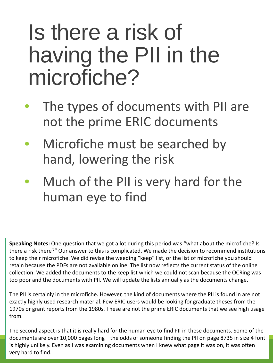#### Is there a risk of having the PII in the microfiche?

- The types of documents with PII are not the prime ERIC documents
- Microfiche must be searched by hand, lowering the risk
- Much of the PII is very hard for the human eye to find

**Speaking Notes:** One question that we got a lot during this period was "what about the microfiche? Is there a risk there?" Our answer to this is complicated. We made the decision to recommend institutions to keep their microfiche. We did revise the weeding "keep" list, or the list of microfiche you should retain because the PDFs are not available online. The list now reflects the current status of the online collection. We added the documents to the keep list which we could not scan because the OCRing was too poor and the documents with PII. We will update the lists annually as the documents change.

The PII is certainly in the microfiche. However, the kind of documents where the PII is found in are not exactly highly used research material. Few ERIC users would be looking for graduate theses from the 1970s or grant reports from the 1980s. These are not the prime ERIC documents that we see high usage from.

The second aspect is that it is really hard for the human eye to find PII in these documents. Some of the documents are over 10,000 pages long—the odds of someone finding the PII on page 8735 in size 4 font is highly unlikely. Even as I was examining documents when I knew what page it was on, it was often very hard to find.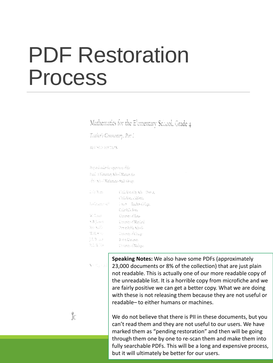#### PDF Restoration Process

Mathematics for the Elementary School, Grade 4

Teather's Commentary, Part 1

REVISED HOTEPN

Per ad only the operion of the Punch in Hamemary School Managemics of the School Mathematics Study Group:

| 15de South    | Clark Vista City School District, |
|---------------|-----------------------------------|
|               | Chila Vista, california           |
| ha Gradur air | ÷arr – Tader Gilge                |
|               | Colar Falls, Iowa                 |
| W. Lies       | University of Texas               |
| n, B. L. Gen  | University of Marcland            |
| inas (Susitiv | Derog Public Schools              |
| M. H. mito    | University of Change              |
| 51. Wolf      | Boton Universit                   |
| R.D.W. Her    | Umwen of Malaga.                  |

**Speaking Notes:** We also have some PDFs (approximately 23,000 documents or 8% of the collection) that are just plain not readable. This is actually one of our more readable copy of the unreadable list. It is a horrible copy from microfiche and we are fairly positive we can get a better copy. What we are doing with these is not releasing them because they are not useful or readable– to either humans or machines.

We do not believe that there is PII in these documents, but you can't read them and they are not useful to our users. We have marked them as "pending restoration" and then will be going through them one by one to re-scan them and make them into fully searchable PDFs. This will be a long and expensive process, but it will ultimately be better for our users.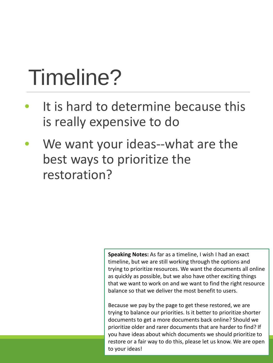### Timeline?

- It is hard to determine because this is really expensive to do
- We want your ideas--what are the best ways to prioritize the restoration?

**Speaking Notes:** As far as a timeline, I wish I had an exact timeline, but we are still working through the options and trying to prioritize resources. We want the documents all online as quickly as possible, but we also have other exciting things that we want to work on and we want to find the right resource balance so that we deliver the most benefit to users.

Because we pay by the page to get these restored, we are trying to balance our priorities. Is it better to prioritize shorter documents to get a more documents back online? Should we prioritize older and rarer documents that are harder to find? If you have ideas about which documents we should prioritize to restore or a fair way to do this, please let us know. We are open to your ideas!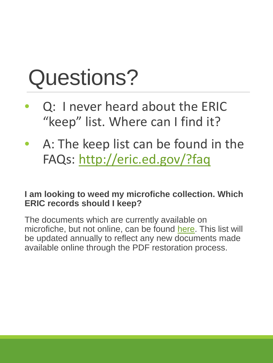- Q: I never heard about the ERIC "keep" list. Where can I find it?
- A: The keep list can be found in the FAQs: <http://eric.ed.gov/?faq>

#### **I am looking to weed my microfiche collection. Which ERIC records should I keep?**

The documents which are currently available on microfiche, but not online, can be found [here](http://eric.ed.gov/pdf/ERIC_KeepList.pdf). This list will be updated annually to reflect any new documents made available online through the PDF restoration process.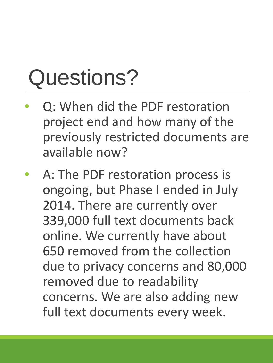- Q: When did the PDF restoration project end and how many of the previously restricted documents are available now?
- A: The PDF restoration process is ongoing, but Phase I ended in July 2014. There are currently over 339,000 full text documents back online. We currently have about 650 removed from the collection due to privacy concerns and 80,000 removed due to readability concerns. We are also adding new full text documents every week.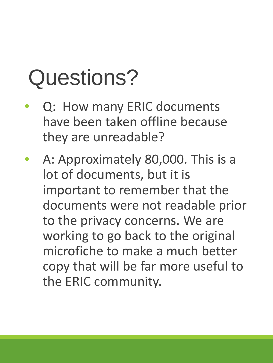- Q: How many ERIC documents have been taken offline because they are unreadable?
- A: Approximately 80,000. This is a lot of documents, but it is important to remember that the documents were not readable prior to the privacy concerns. We are working to go back to the original microfiche to make a much better copy that will be far more useful to the ERIC community.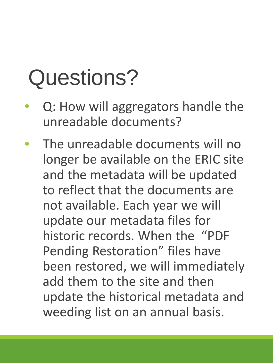- Q: How will aggregators handle the unreadable documents?
- The unreadable documents will no longer be available on the ERIC site and the metadata will be updated to reflect that the documents are not available. Each year we will update our metadata files for historic records. When the "PDF Pending Restoration" files have been restored, we will immediately add them to the site and then update the historical metadata and weeding list on an annual basis.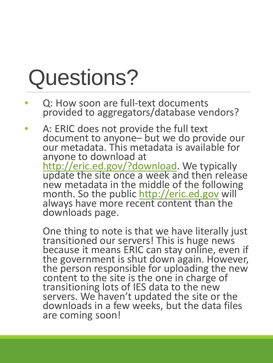- Q: How soon are full-text documents provided to aggregators/database vendors?
- A: ERIC does not provide the full text document to anyone– but we do provide our our metadata. This metadata is available for anyone to download at<br>http://eric.ed.gov/?download. We typically <http://eric.ed.gov/?download>. We typically<br>[update the site once a week a](http://eric.ed.gov/?download)nd then release new metadata in the middle of the following month. So the public [http://eric.ed.gov](http://eric.ed.gov/) will` always have more recent content than the downloads page.

One thing to note is that we have literally just transitioned our servers! This is huge news because it means ERIC can stay online, even if the government is shut down again. However, the person responsible for uploading the new content to the site is the one in charge of transitioning lots of IES data to the new servers. We haven't updated the site or the downloads in a few weeks, but the data files are coming soon!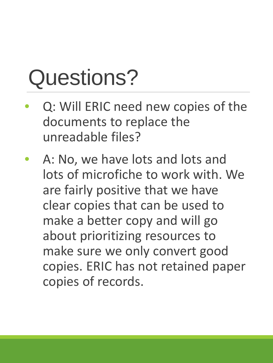- Q: Will ERIC need new copies of the documents to replace the unreadable files?
- A: No, we have lots and lots and lots of microfiche to work with. We are fairly positive that we have clear copies that can be used to make a better copy and will go about prioritizing resources to make sure we only convert good copies. ERIC has not retained paper copies of records.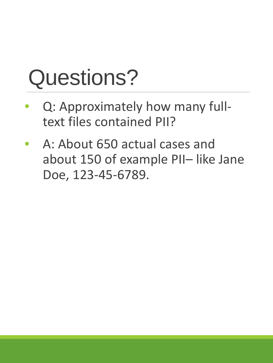- Q: Approximately how many fulltext files contained PII?
- A: About 650 actual cases and about 150 of example PII– like Jane Doe, 123-45-6789.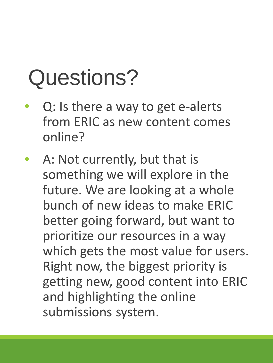- Q: Is there a way to get e-alerts from ERIC as new content comes online?
- A: Not currently, but that is something we will explore in the future. We are looking at a whole bunch of new ideas to make ERIC better going forward, but want to prioritize our resources in a way which gets the most value for users. Right now, the biggest priority is getting new, good content into ERIC and highlighting the online submissions system.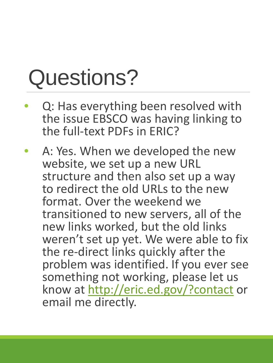- Q: Has everything been resolved with the issue EBSCO was having linking to the full-text PDFs in ERIC?
- A: Yes. When we developed the new website, we set up a new URL structure and then also set up a way to redirect the old URLs to the new format. Over the weekend we transitioned to new servers, all of the new links worked, but the old links weren't set up yet. We were able to fix the re-direct links quickly after the problem was identified. If you ever see something not working, please let us know at<http://eric.ed.gov/?contact> or email me directly.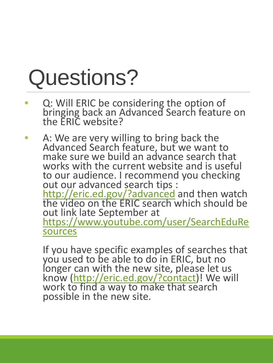- Q: Will ERIC be considering the option of bringing back an Advanced Search feature on the ERIC website?
- A: We are very willing to bring back the Advanced Search feature, but we want to make sure we build an advance search that works with the current website and is useful to our audience. I recommend you checking<br>out our advanced search tips : [out our advanced search tips :](http://eric.ed.gov/?advanced) <u><http://eric.ed.gov/?advanced></u> and then watch the video on the ERIC search which should be out link late September at<br>https://www.youtube.com/user/SearchEduRe [sources](https://www.youtube.com/user/SearchEduResources)

If you have specific examples of searches that you used to be able to do in ERIC, but no longer can with the new site, please let us know [\(http://eric.ed.gov/?contact\)](http://eric.ed.gov/?contact)! We will work t[o find a way to make that se](http://eric.ed.gov/?contact)arch possible in the new site.